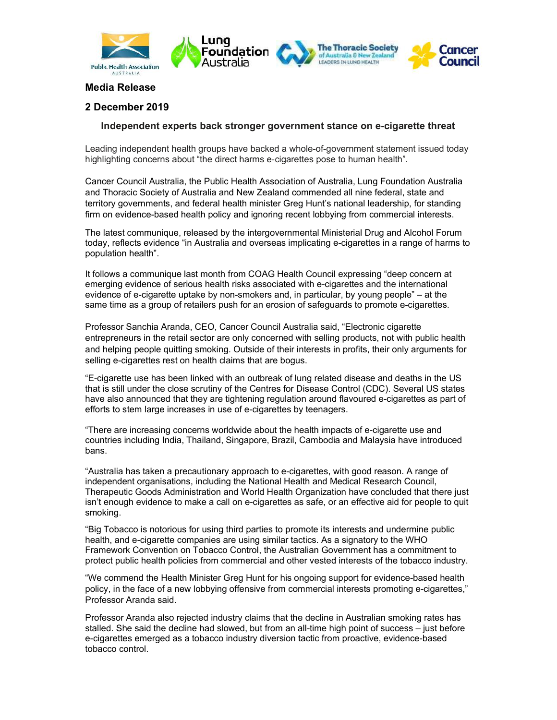

## Media Release

## 2 December 2019

## Independent experts back stronger government stance on e-cigarette threat

Leading independent health groups have backed a whole-of-government statement issued today highlighting concerns about "the direct harms e-cigarettes pose to human health".

Cancer Council Australia, the Public Health Association of Australia, Lung Foundation Australia and Thoracic Society of Australia and New Zealand commended all nine federal, state and territory governments, and federal health minister Greg Hunt's national leadership, for standing firm on evidence-based health policy and ignoring recent lobbying from commercial interests.

The latest communique, released by the intergovernmental Ministerial Drug and Alcohol Forum today, reflects evidence "in Australia and overseas implicating e-cigarettes in a range of harms to population health".

It follows a communique last month from COAG Health Council expressing "deep concern at emerging evidence of serious health risks associated with e-cigarettes and the international evidence of e-cigarette uptake by non-smokers and, in particular, by young people" – at the same time as a group of retailers push for an erosion of safeguards to promote e-cigarettes.

Professor Sanchia Aranda, CEO, Cancer Council Australia said, "Electronic cigarette entrepreneurs in the retail sector are only concerned with selling products, not with public health and helping people quitting smoking. Outside of their interests in profits, their only arguments for selling e-cigarettes rest on health claims that are bogus.

"E-cigarette use has been linked with an outbreak of lung related disease and deaths in the US that is still under the close scrutiny of the Centres for Disease Control (CDC). Several US states have also announced that they are tightening regulation around flavoured e-cigarettes as part of efforts to stem large increases in use of e-cigarettes by teenagers.

"There are increasing concerns worldwide about the health impacts of e-cigarette use and countries including India, Thailand, Singapore, Brazil, Cambodia and Malaysia have introduced bans.

"Australia has taken a precautionary approach to e-cigarettes, with good reason. A range of independent organisations, including the National Health and Medical Research Council, Therapeutic Goods Administration and World Health Organization have concluded that there just isn't enough evidence to make a call on e-cigarettes as safe, or an effective aid for people to quit smoking.

"Big Tobacco is notorious for using third parties to promote its interests and undermine public health, and e-cigarette companies are using similar tactics. As a signatory to the WHO Framework Convention on Tobacco Control, the Australian Government has a commitment to protect public health policies from commercial and other vested interests of the tobacco industry.

"We commend the Health Minister Greg Hunt for his ongoing support for evidence-based health policy, in the face of a new lobbying offensive from commercial interests promoting e-cigarettes," Professor Aranda said.

Professor Aranda also rejected industry claims that the decline in Australian smoking rates has stalled. She said the decline had slowed, but from an all-time high point of success – just before e-cigarettes emerged as a tobacco industry diversion tactic from proactive, evidence-based tobacco control.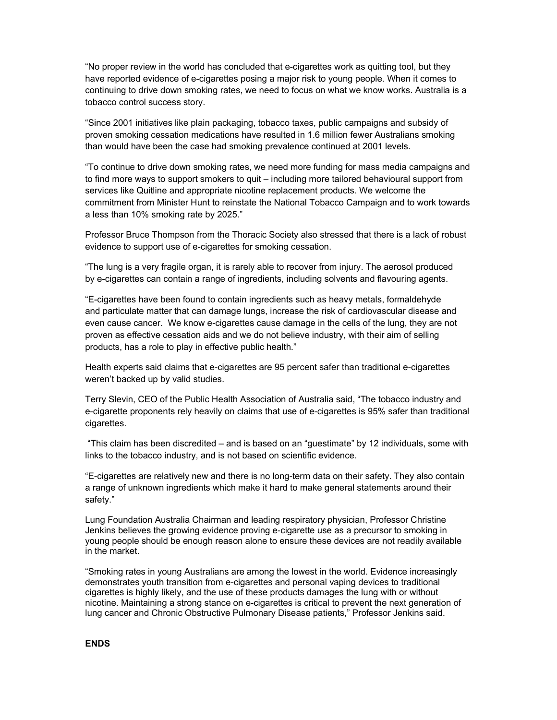"No proper review in the world has concluded that e-cigarettes work as quitting tool, but they have reported evidence of e-cigarettes posing a major risk to young people. When it comes to continuing to drive down smoking rates, we need to focus on what we know works. Australia is a tobacco control success story.

"Since 2001 initiatives like plain packaging, tobacco taxes, public campaigns and subsidy of proven smoking cessation medications have resulted in 1.6 million fewer Australians smoking than would have been the case had smoking prevalence continued at 2001 levels.

"To continue to drive down smoking rates, we need more funding for mass media campaigns and to find more ways to support smokers to quit – including more tailored behavioural support from services like Quitline and appropriate nicotine replacement products. We welcome the commitment from Minister Hunt to reinstate the National Tobacco Campaign and to work towards a less than 10% smoking rate by 2025."

Professor Bruce Thompson from the Thoracic Society also stressed that there is a lack of robust evidence to support use of e-cigarettes for smoking cessation.

"The lung is a very fragile organ, it is rarely able to recover from injury. The aerosol produced by e-cigarettes can contain a range of ingredients, including solvents and flavouring agents.

"E-cigarettes have been found to contain ingredients such as heavy metals, formaldehyde and particulate matter that can damage lungs, increase the risk of cardiovascular disease and even cause cancer. We know e-cigarettes cause damage in the cells of the lung, they are not proven as effective cessation aids and we do not believe industry, with their aim of selling products, has a role to play in effective public health."

Health experts said claims that e-cigarettes are 95 percent safer than traditional e-cigarettes weren't backed up by valid studies.

Terry Slevin, CEO of the Public Health Association of Australia said, "The tobacco industry and e-cigarette proponents rely heavily on claims that use of e-cigarettes is 95% safer than traditional cigarettes.

 "This claim has been discredited – and is based on an "guestimate" by 12 individuals, some with links to the tobacco industry, and is not based on scientific evidence.

"E-cigarettes are relatively new and there is no long-term data on their safety. They also contain a range of unknown ingredients which make it hard to make general statements around their safety."

Lung Foundation Australia Chairman and leading respiratory physician, Professor Christine Jenkins believes the growing evidence proving e-cigarette use as a precursor to smoking in young people should be enough reason alone to ensure these devices are not readily available in the market.

"Smoking rates in young Australians are among the lowest in the world. Evidence increasingly demonstrates youth transition from e-cigarettes and personal vaping devices to traditional cigarettes is highly likely, and the use of these products damages the lung with or without nicotine. Maintaining a strong stance on e-cigarettes is critical to prevent the next generation of lung cancer and Chronic Obstructive Pulmonary Disease patients," Professor Jenkins said.

## ENDS